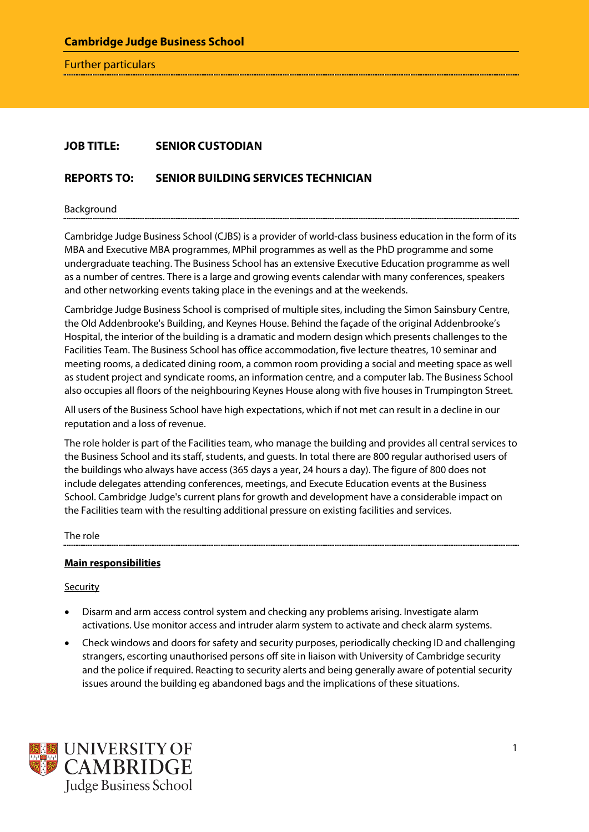Further particulars

# **JOB TITLE: SENIOR CUSTODIAN**

# **REPORTS TO: SENIOR BUILDING SERVICES TECHNICIAN**

Background

Cambridge Judge Business School (CJBS) is a provider of world-class business education in the form of its MBA and Executive MBA programmes, MPhil programmes as well as the PhD programme and some undergraduate teaching. The Business School has an extensive Executive Education programme as well as a number of centres. There is a large and growing events calendar with many conferences, speakers and other networking events taking place in the evenings and at the weekends.

Cambridge Judge Business School is comprised of multiple sites, including the Simon Sainsbury Centre, the Old Addenbrooke's Building, and Keynes House. Behind the façade of the original Addenbrooke's Hospital, the interior of the building is a dramatic and modern design which presents challenges to the Facilities Team. The Business School has office accommodation, five lecture theatres, 10 seminar and meeting rooms, a dedicated dining room, a common room providing a social and meeting space as well as student project and syndicate rooms, an information centre, and a computer lab. The Business School also occupies all floors of the neighbouring Keynes House along with five houses in Trumpington Street.

All users of the Business School have high expectations, which if not met can result in a decline in our reputation and a loss of revenue.

The role holder is part of the Facilities team, who manage the building and provides all central services to the Business School and its staff, students, and guests. In total there are 800 regular authorised users of the buildings who always have access (365 days a year, 24 hours a day). The figure of 800 does not include delegates attending conferences, meetings, and Execute Education events at the Business School. Cambridge Judge's current plans for growth and development have a considerable impact on the Facilities team with the resulting additional pressure on existing facilities and services.

The role

#### **Main responsibilities**

**Security** 

- Disarm and arm access control system and checking any problems arising. Investigate alarm activations. Use monitor access and intruder alarm system to activate and check alarm systems.
- Check windows and doors for safety and security purposes, periodically checking ID and challenging strangers, escorting unauthorised persons off site in liaison with University of Cambridge security and the police if required. Reacting to security alerts and being generally aware of potential security issues around the building eg abandoned bags and the implications of these situations.

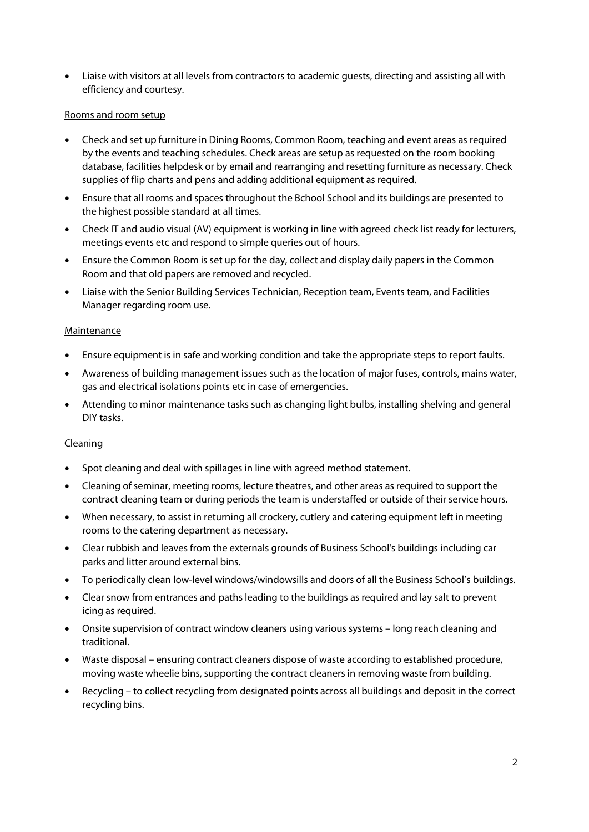• Liaise with visitors at all levels from contractors to academic guests, directing and assisting all with efficiency and courtesy.

### Rooms and room setup

- Check and set up furniture in Dining Rooms, Common Room, teaching and event areas as required by the events and teaching schedules. Check areas are setup as requested on the room booking database, facilities helpdesk or by email and rearranging and resetting furniture as necessary. Check supplies of flip charts and pens and adding additional equipment as required.
- Ensure that all rooms and spaces throughout the Bchool School and its buildings are presented to the highest possible standard at all times.
- Check IT and audio visual (AV) equipment is working in line with agreed check list ready for lecturers, meetings events etc and respond to simple queries out of hours.
- Ensure the Common Room is set up for the day, collect and display daily papers in the Common Room and that old papers are removed and recycled.
- Liaise with the Senior Building Services Technician, Reception team, Events team, and Facilities Manager regarding room use.

#### Maintenance

- Ensure equipment is in safe and working condition and take the appropriate steps to report faults.
- Awareness of building management issues such as the location of major fuses, controls, mains water, gas and electrical isolations points etc in case of emergencies.
- Attending to minor maintenance tasks such as changing light bulbs, installing shelving and general DIY tasks.

# Cleaning

- Spot cleaning and deal with spillages in line with agreed method statement.
- Cleaning of seminar, meeting rooms, lecture theatres, and other areas as required to support the contract cleaning team or during periods the team is understaffed or outside of their service hours.
- When necessary, to assist in returning all crockery, cutlery and catering equipment left in meeting rooms to the catering department as necessary.
- Clear rubbish and leaves from the externals grounds of Business School's buildings including car parks and litter around external bins.
- To periodically clean low-level windows/windowsills and doors of all the Business School's buildings.
- Clear snow from entrances and paths leading to the buildings as required and lay salt to prevent icing as required.
- Onsite supervision of contract window cleaners using various systems long reach cleaning and traditional.
- Waste disposal ensuring contract cleaners dispose of waste according to established procedure, moving waste wheelie bins, supporting the contract cleaners in removing waste from building.
- Recycling to collect recycling from designated points across all buildings and deposit in the correct recycling bins.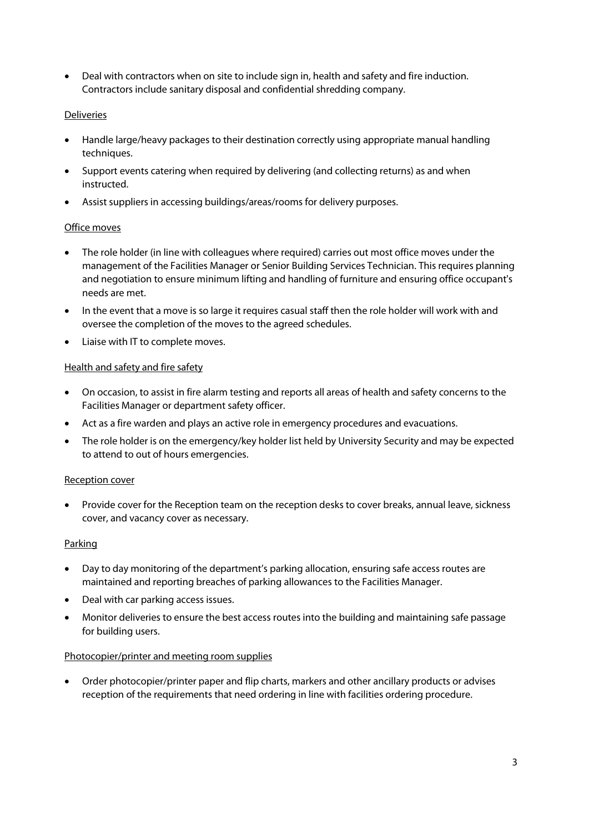• Deal with contractors when on site to include sign in, health and safety and fire induction. Contractors include sanitary disposal and confidential shredding company.

# Deliveries

- Handle large/heavy packages to their destination correctly using appropriate manual handling techniques.
- Support events catering when required by delivering (and collecting returns) as and when instructed.
- Assist suppliers in accessing buildings/areas/rooms for delivery purposes.

### Office moves

- The role holder (in line with colleagues where required) carries out most office moves under the management of the Facilities Manager or Senior Building Services Technician. This requires planning and negotiation to ensure minimum lifting and handling of furniture and ensuring office occupant's needs are met.
- In the event that a move is so large it requires casual staff then the role holder will work with and oversee the completion of the moves to the agreed schedules.
- Liaise with IT to complete moves.

# Health and safety and fire safety

- On occasion, to assist in fire alarm testing and reports all areas of health and safety concerns to the Facilities Manager or department safety officer.
- Act as a fire warden and plays an active role in emergency procedures and evacuations.
- The role holder is on the emergency/key holder list held by University Security and may be expected to attend to out of hours emergencies.

#### Reception cover

• Provide cover for the Reception team on the reception desks to cover breaks, annual leave, sickness cover, and vacancy cover as necessary.

#### **Parking**

- Day to day monitoring of the department's parking allocation, ensuring safe access routes are maintained and reporting breaches of parking allowances to the Facilities Manager.
- Deal with car parking access issues.
- Monitor deliveries to ensure the best access routes into the building and maintaining safe passage for building users.

#### Photocopier/printer and meeting room supplies

• Order photocopier/printer paper and flip charts, markers and other ancillary products or advises reception of the requirements that need ordering in line with facilities ordering procedure.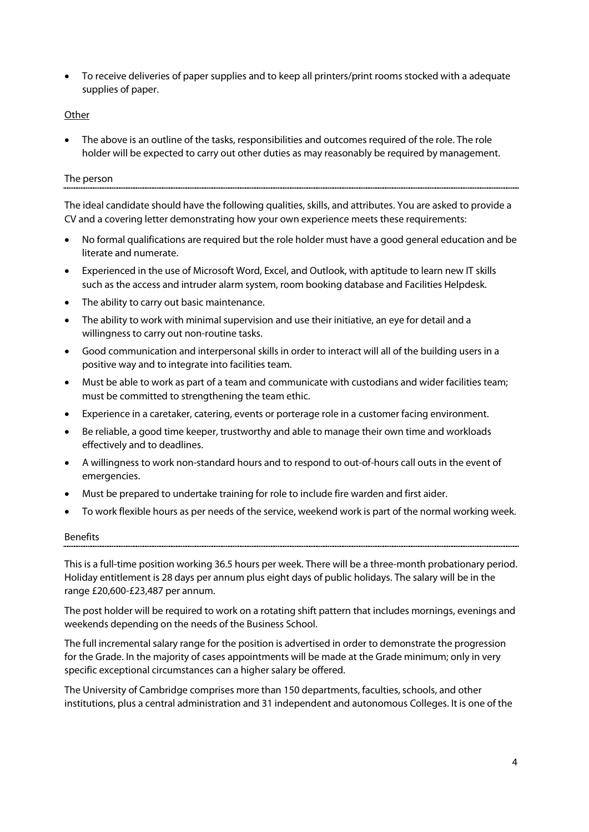• To receive deliveries of paper supplies and to keep all printers/print rooms stocked with a adequate supplies of paper.

### **Other**

The above is an outline of the tasks, responsibilities and outcomes required of the role. The role holder will be expected to carry out other duties as may reasonably be required by management.

#### The person

The ideal candidate should have the following qualities, skills, and attributes. You are asked to provide a CV and a covering letter demonstrating how your own experience meets these requirements:

- No formal qualifications are required but the role holder must have a good general education and be literate and numerate.
- Experienced in the use of Microsoft Word, Excel, and Outlook, with aptitude to learn new IT skills such as the access and intruder alarm system, room booking database and Facilities Helpdesk.
- The ability to carry out basic maintenance.
- The ability to work with minimal supervision and use their initiative, an eye for detail and a willingness to carry out non-routine tasks.
- Good communication and interpersonal skills in order to interact will all of the building users in a positive way and to integrate into facilities team.
- Must be able to work as part of a team and communicate with custodians and wider facilities team; must be committed to strengthening the team ethic.
- Experience in a caretaker, catering, events or porterage role in a customer facing environment.
- Be reliable, a good time keeper, trustworthy and able to manage their own time and workloads effectively and to deadlines.
- A willingness to work non-standard hours and to respond to out-of-hours call outs in the event of emergencies.
- Must be prepared to undertake training for role to include fire warden and first aider.
- To work flexible hours as per needs of the service, weekend work is part of the normal working week.

#### Benefits

This is a full-time position working 36.5 hours per week. There will be a three-month probationary period. Holiday entitlement is 28 days per annum plus eight days of public holidays. The salary will be in the range £20,600-£23,487 per annum.

The post holder will be required to work on a rotating shift pattern that includes mornings, evenings and weekends depending on the needs of the Business School.

The full incremental salary range for the position is advertised in order to demonstrate the progression for the Grade. In the majority of cases appointments will be made at the Grade minimum; only in very specific exceptional circumstances can a higher salary be offered.

The University of Cambridge comprises more than 150 departments, faculties, schools, and other institutions, plus a central administration and 31 independent and autonomous Colleges. It is one of the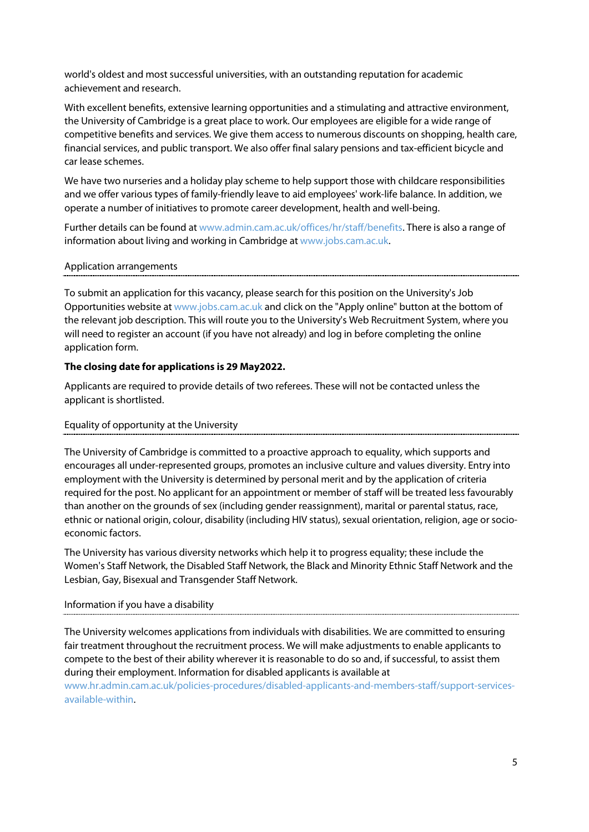world's oldest and most successful universities, with an outstanding reputation for academic achievement and research.

With excellent benefits, extensive learning opportunities and a stimulating and attractive environment, the University of Cambridge is a great place to work. Our employees are eligible for a wide range of competitive benefits and services. We give them access to numerous discounts on shopping, health care, financial services, and public transport. We also offer final salary pensions and tax-efficient bicycle and car lease schemes.

We have two nurseries and a holiday play scheme to help support those with childcare responsibilities and we offer various types of family-friendly leave to aid employees' work-life balance. In addition, we operate a number of initiatives to promote career development, health and well-being.

Further details can be found a[t www.admin.cam.ac.uk/offices/hr/staff/benefits.](http://www.admin.cam.ac.uk/offices/hr/staff/benefits/) There is also a range of information about living and working in Cambridge a[t www.jobs.cam.ac.uk.](http://www.jobs.cam.ac.uk/)

### Application arrangements

To submit an application for this vacancy, please search for this position on the University's Job Opportunities website at [www.jobs.cam.ac.uk](http://www.jobs.cam.ac.uk/) and click on the "Apply online" button at the bottom of the relevant job description. This will route you to the University's Web Recruitment System, where you will need to register an account (if you have not already) and log in before completing the online application form.

# **The closing date for applications is 29 May2022.**

Applicants are required to provide details of two referees. These will not be contacted unless the applicant is shortlisted.

#### Equality of opportunity at the University

The University of Cambridge is committed to a proactive approach to equality, which supports and encourages all under-represented groups, promotes an inclusive culture and values diversity. Entry into employment with the University is determined by personal merit and by the application of criteria required for the post. No applicant for an appointment or member of staff will be treated less favourably than another on the grounds of sex (including gender reassignment), marital or parental status, race, ethnic or national origin, colour, disability (including HIV status), sexual orientation, religion, age or socioeconomic factors.

The University has various diversity networks which help it to progress equality; these include the Women's Staff Network, the Disabled Staff Network, the Black and Minority Ethnic Staff Network and the Lesbian, Gay, Bisexual and Transgender Staff Network.

# Information if you have a disability

The University welcomes applications from individuals with disabilities. We are committed to ensuring fair treatment throughout the recruitment process. We will make adjustments to enable applicants to compete to the best of their ability wherever it is reasonable to do so and, if successful, to assist them during their employment. Information for disabled applicants is available at

[www.hr.admin.cam.ac.uk/policies-procedures/disabled-applicants-and-members-staff/support-services](https://www.hr.admin.cam.ac.uk/policies-procedures/disabled-applicants-and-members-staff/support-services-available-within)[available-within.](https://www.hr.admin.cam.ac.uk/policies-procedures/disabled-applicants-and-members-staff/support-services-available-within)